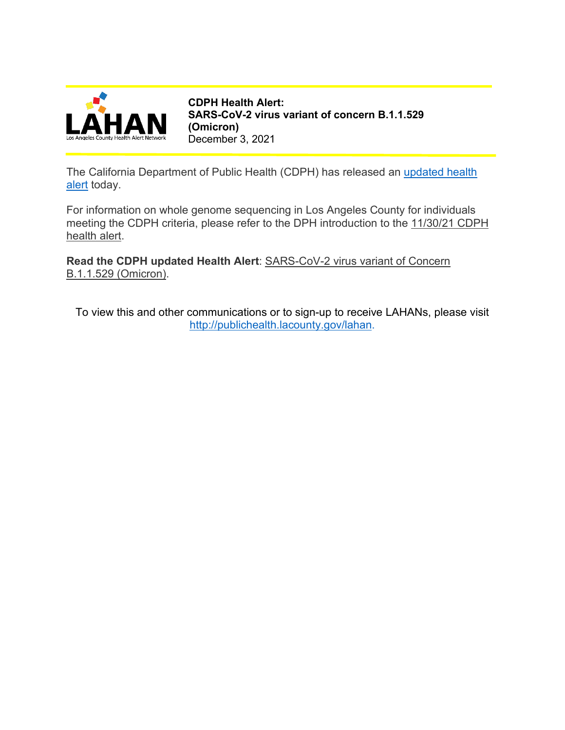

**CDPH Health Alert: SARS-CoV-2 virus variant of concern B.1.1.529 (Omicron)** December 3, 2021

The California Department of Public Health (CDPH) has released an updated health [alert](http://publichealth.lacounty.gov/eprp/lahan/alerts/CAHANVariantsOmicron12321CDPH.pdf) today.

For information on whole genome sequencing in Los Angeles County for individuals meeting the CDPH criteria, please refer to the DPH introduction to the [11/30/21 CDPH](http://publichealth.lacounty.gov/eprp/lahan/alerts/CAHANOmicronVariant113021.pdf)  [health alert.](http://publichealth.lacounty.gov/eprp/lahan/alerts/CAHANOmicronVariant113021.pdf)

**Read the CDPH updated Health Alert**: [SARS-CoV-2 virus variant of Concern](http://publichealth.lacounty.gov/eprp/lahan/alerts/CAHANVariantsOmicron12321CDPH.pdf)  [B.1.1.529 \(Omicron\).](http://publichealth.lacounty.gov/eprp/lahan/alerts/CAHANVariantsOmicron12321CDPH.pdf)

To view this and other communications or to sign-up to receive LAHANs, please visit [http://publichealth.lacounty.gov/lahan.](http://publichealth.lacounty.gov/lahan)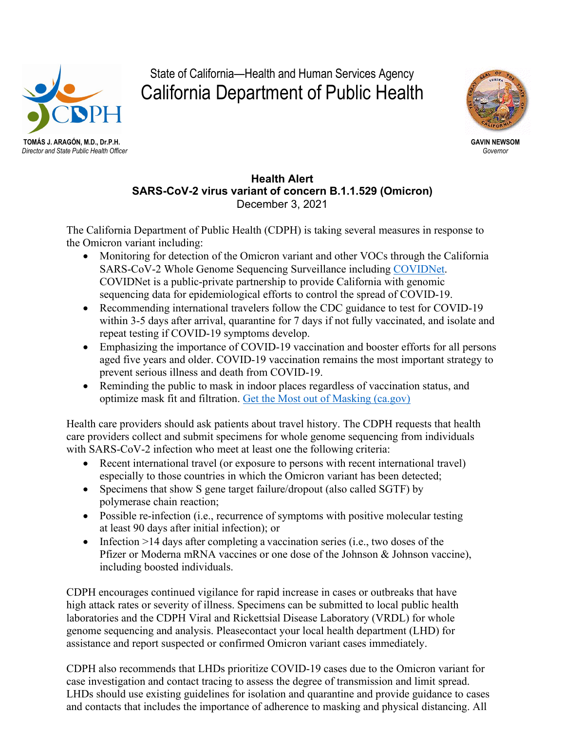

**TOMÁS J. ARAGÓN, M.D., Dr.P.H. GAVIN NEWSOM** *Director and State Public Health Officer Governor*

State of California—Health and Human Services Agency California Department of Public Health



## **Health Alert SARS-CoV-2 virus variant of concern B.1.1.529 (Omicron)**  December 3, 2021

The California Department of Public Health (CDPH) is taking several measures in response to the Omicron variant including:

- Monitoring for detection of the Omicron variant and other VOCs through the California SARS-CoV-2 Whole Genome Sequencing Surveillance including [COVIDNet.](https://testing.covid19.ca.gov/covidnet/#covidnet_overview) COVIDNet is a public-private partnership to provide California with genomic sequencing data for epidemiological efforts to control the spread of COVID-19.
- Recommending international travelers follow the CDC guidance to test for COVID-19 within 3-5 days after arrival, quarantine for 7 days if not fully vaccinated, and isolate and repeat testing if COVID-19 symptoms develop.
- Emphasizing the importance of COVID-19 vaccination and booster efforts for all persons aged five years and older. COVID-19 vaccination remains the most important strategy to prevent serious illness and death from COVID-19.
- Reminding the public to mask in indoor places regardless of vaccination status, and optimize mask fit and filtration. [Get the Most out of Masking \(ca.gov\)](https://www.cdph.ca.gov/Programs/CID/DCDC/Pages/COVID-19/Get-the-Most-out-of-Masking.aspx)

Health care providers should ask patients about travel history. The CDPH requests that health care providers collect and submit specimens for whole genome sequencing from individuals with SARS-CoV-2 infection who meet at least one the following criteria:

- Recent international travel (or exposure to persons with recent international travel) especially to those countries in which the Omicron variant has been detected;
- Specimens that show S gene target failure/dropout (also called SGTF) by polymerase chain reaction;
- Possible re-infection (i.e., recurrence of symptoms with positive molecular testing at least 90 days after initial infection); or
- Infection  $>14$  days after completing a vaccination series (i.e., two doses of the Pfizer or Moderna mRNA vaccines or one dose of the Johnson & Johnson vaccine), including boosted individuals.

CDPH encourages continued vigilance for rapid increase in cases or outbreaks that have high attack rates or severity of illness. Specimens can be submitted to local public health laboratories and the CDPH Viral and Rickettsial Disease Laboratory (VRDL) for whole genome sequencing and analysis. Pleasecontact your local health department (LHD) for assistance and report suspected or confirmed Omicron variant cases immediately.

CDPH also recommends that LHDs prioritize COVID-19 cases due to the Omicron variant for case investigation and contact tracing to assess the degree of transmission and limit spread. LHDs should use existing guidelines for isolation and quarantine and provide guidance to cases and contacts that includes the importance of adherence to masking and physical distancing. All